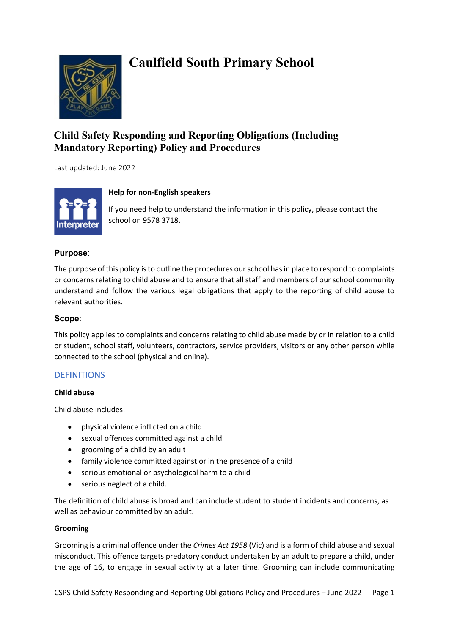

# **Caulfield South Primary School**

# **Child Safety Responding and Reporting Obligations (Including Mandatory Reporting) Policy and Procedures**

Last updated: June 2022



### **Help for non-English speakers**

If you need help to understand the information in this policy, please contact the school on 9578 3718.

### **Purpose**:

The purpose of this policy is to outline the procedures our school has in place to respond to complaints or concerns relating to child abuse and to ensure that all staff and members of our school community understand and follow the various legal obligations that apply to the reporting of child abuse to relevant authorities.

### **Scope**:

This policy applies to complaints and concerns relating to child abuse made by or in relation to a child or student, school staff, volunteers, contractors, service providers, visitors or any other person while connected to the school (physical and online).

### **DEFINITIONS**

### **Child abuse**

Child abuse includes:

- physical violence inflicted on a child
- sexual offences committed against a child
- grooming of a child by an adult
- family violence committed against or in the presence of a child
- serious emotional or psychological harm to a child
- serious neglect of a child.

The definition of child abuse is broad and can include student to student incidents and concerns, as well as behaviour committed by an adult.

### **Grooming**

Grooming is a criminal offence under the *Crimes Act 1958* (Vic) and is a form of child abuse and sexual misconduct. This offence targets predatory conduct undertaken by an adult to prepare a child, under the age of 16, to engage in sexual activity at a later time. Grooming can include communicating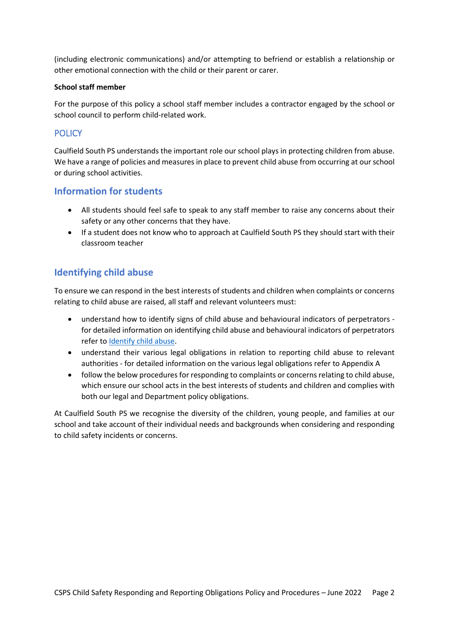(including electronic communications) and/or attempting to befriend or establish a relationship or other emotional connection with the child or their parent or carer.

#### **School staff member**

For the purpose of this policy a school staff member includes a contractor engaged by the school or school council to perform child-related work.

### **POLICY**

Caulfield South PS understands the important role our school plays in protecting children from abuse. We have a range of policies and measures in place to prevent child abuse from occurring at our school or during school activities.

## **Information for students**

- All students should feel safe to speak to any staff member to raise any concerns about their safety or any other concerns that they have.
- If a student does not know who to approach at Caulfield South PS they should start with their classroom teacher

## **Identifying child abuse**

To ensure we can respond in the best interests of students and children when complaints or concerns relating to child abuse are raised, all staff and relevant volunteers must:

- understand how to identify signs of child abuse and behavioural indicators of perpetrators for detailed information on identifying child abuse and behavioural indicators of perpetrators refer t[o Identify child abuse.](https://www.education.vic.gov.au/school/teachers/health/childprotection/Pages/identify.aspx)
- understand their various legal obligations in relation to reporting child abuse to relevant authorities - for detailed information on the various legal obligations refer to Appendix A
- follow the below procedures for responding to complaints or concerns relating to child abuse, which ensure our school acts in the best interests of students and children and complies with both our legal and Department policy obligations.

At Caulfield South PS we recognise the diversity of the children, young people, and families at our school and take account of their individual needs and backgrounds when considering and responding to child safety incidents or concerns.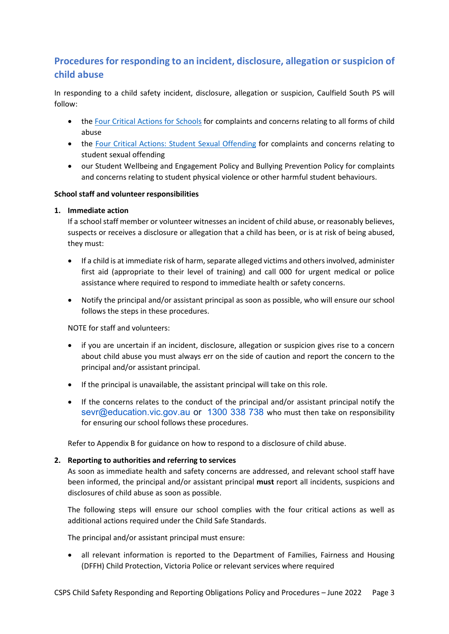# **Procedures for responding to an incident, disclosure, allegation or suspicion of child abuse**

In responding to a child safety incident, disclosure, allegation or suspicion, Caulfield South PS will follow:

- the [Four Critical Actions for Schools](https://www.education.vic.gov.au/Documents/about/programs/health/protect/FourCriticalActions_ChildAbuse.pdf) for complaints and concerns relating to all forms of child abuse
- the [Four Critical Actions: Student Sexual Offending](https://www.education.vic.gov.au/school/teachers/health/childprotection/Pages/stusexual.aspx) for complaints and concerns relating to student sexual offending
- our Student Wellbeing and Engagement Policy and Bullying Prevention Policy for complaints and concerns relating to student physical violence or other harmful student behaviours.

#### **School staff and volunteer responsibilities**

#### **1. Immediate action**

If a school staff member or volunteer witnesses an incident of child abuse, or reasonably believes, suspects or receives a disclosure or allegation that a child has been, or is at risk of being abused, they must:

- If a child is at immediate risk of harm, separate alleged victims and others involved, administer first aid (appropriate to their level of training) and call 000 for urgent medical or police assistance where required to respond to immediate health or safety concerns.
- Notify the principal and/or assistant principal as soon as possible, who will ensure our school follows the steps in these procedures.

NOTE for staff and volunteers:

- if you are uncertain if an incident, disclosure, allegation or suspicion gives rise to a concern about child abuse you must always err on the side of caution and report the concern to the principal and/or assistant principal.
- If the principal is unavailable, the assistant principal will take on this role.
- If the concerns relates to the conduct of the principal and/or assistant principal notify the [sevr@education.vic.gov.au](mailto:sevr@education.vic.gov.au) or [1300 338 738](tel:1300338738) who must then take on responsibility for ensuring our school follows these procedures.

Refer to Appendix B for guidance on how to respond to a disclosure of child abuse.

### **2. Reporting to authorities and referring to services**

As soon as immediate health and safety concerns are addressed, and relevant school staff have been informed, the principal and/or assistant principal **must** report all incidents, suspicions and disclosures of child abuse as soon as possible.

The following steps will ensure our school complies with the four critical actions as well as additional actions required under the Child Safe Standards.

The principal and/or assistant principal must ensure:

• all relevant information is reported to the Department of Families, Fairness and Housing (DFFH) Child Protection, Victoria Police or relevant services where required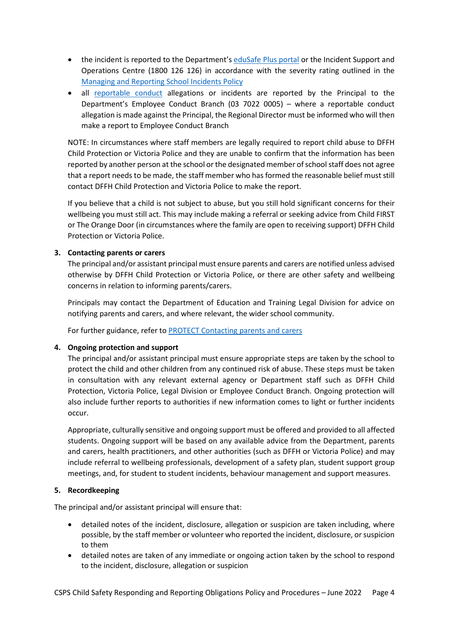- the incident is reported to the Department's [eduSafe Plus portal](https://services.educationapps.vic.gov.au/edusafeplus) or the Incident Support and Operations Centre (1800 126 126) in accordance with the severity rating outlined in the [Managing and Reporting School Incidents Policy](https://www2.education.vic.gov.au/pal/reporting-and-managing-school-incidents-including-emergencies/policy)
- all [reportable conduct](https://www2.education.vic.gov.au/pal/reportable-conduct-scheme/policy) allegations or incidents are reported by the Principal to the Department's Employee Conduct Branch (03 7022 0005) – where a reportable conduct allegation is made against the Principal, the Regional Director must be informed who will then make a report to Employee Conduct Branch

NOTE: In circumstances where staff members are legally required to report child abuse to DFFH Child Protection or Victoria Police and they are unable to confirm that the information has been reported by another person at the school or the designated member of school staff does not agree that a report needs to be made, the staff member who has formed the reasonable belief must still contact DFFH Child Protection and Victoria Police to make the report.

If you believe that a child is not subject to abuse, but you still hold significant concerns for their wellbeing you must still act. This may include making a referral or seeking advice from Child FIRST or The Orange Door (in circumstances where the family are open to receiving support) DFFH Child Protection or Victoria Police.

### **3. Contacting parents or carers**

The principal and/or assistant principal must ensure parents and carers are notified unless advised otherwise by DFFH Child Protection or Victoria Police, or there are other safety and wellbeing concerns in relation to informing parents/carers.

Principals may contact the Department of Education and Training Legal Division for advice on notifying parents and carers, and where relevant, the wider school community.

For further guidance, refer to [PROTECT Contacting parents and carers](https://www.education.vic.gov.au/school/teachers/health/childprotection/Pages/actionthree.aspx)

### **4. Ongoing protection and support**

The principal and/or assistant principal must ensure appropriate steps are taken by the school to protect the child and other children from any continued risk of abuse. These steps must be taken in consultation with any relevant external agency or Department staff such as DFFH Child Protection, Victoria Police, Legal Division or Employee Conduct Branch. Ongoing protection will also include further reports to authorities if new information comes to light or further incidents occur.

Appropriate, culturally sensitive and ongoing support must be offered and provided to all affected students. Ongoing support will be based on any available advice from the Department, parents and carers, health practitioners, and other authorities (such as DFFH or Victoria Police) and may include referral to wellbeing professionals, development of a safety plan, student support group meetings, and, for student to student incidents, behaviour management and support measures.

### **5. Recordkeeping**

The principal and/or assistant principal will ensure that:

- detailed notes of the incident, disclosure, allegation or suspicion are taken including, where possible, by the staff member or volunteer who reported the incident, disclosure, or suspicion to them
- detailed notes are taken of any immediate or ongoing action taken by the school to respond to the incident, disclosure, allegation or suspicion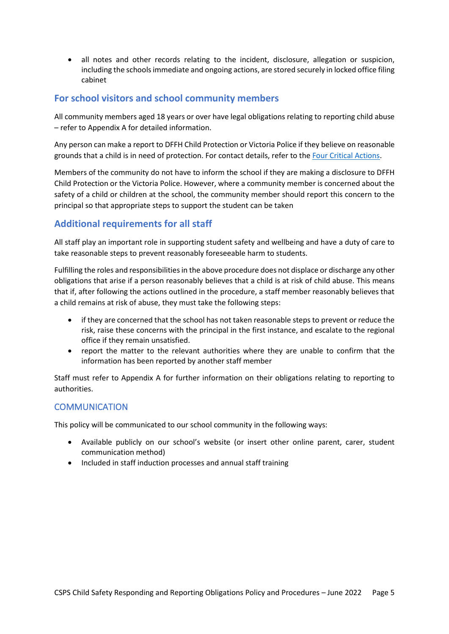• all notes and other records relating to the incident, disclosure, allegation or suspicion, including the schools immediate and ongoing actions, are stored securely in locked office filing cabinet

## **For school visitors and school community members**

All community members aged 18 years or over have legal obligations relating to reporting child abuse – refer to Appendix A for detailed information.

Any person can make a report to DFFH Child Protection or Victoria Police if they believe on reasonable grounds that a child is in need of protection. For contact details, refer to the [Four Critical Actions.](https://www.education.vic.gov.au/Documents/about/programs/health/protect/FourCriticalActions_ChildAbuse.pdf)

Members of the community do not have to inform the school if they are making a disclosure to DFFH Child Protection or the Victoria Police. However, where a community member is concerned about the safety of a child or children at the school, the community member should report this concern to the principal so that appropriate steps to support the student can be taken

# **Additional requirements for all staff**

All staff play an important role in supporting student safety and wellbeing and have a duty of care to take reasonable steps to prevent reasonably foreseeable harm to students.

Fulfilling the roles and responsibilities in the above procedure does not displace or discharge any other obligations that arise if a person reasonably believes that a child is at risk of child abuse. This means that if, after following the actions outlined in the procedure, a staff member reasonably believes that a child remains at risk of abuse, they must take the following steps:

- if they are concerned that the school has not taken reasonable steps to prevent or reduce the risk, raise these concerns with the principal in the first instance, and escalate to the regional office if they remain unsatisfied.
- report the matter to the relevant authorities where they are unable to confirm that the information has been reported by another staff member

Staff must refer to Appendix A for further information on their obligations relating to reporting to authorities.

### **COMMUNICATION**

This policy will be communicated to our school community in the following ways:

- Available publicly on our school's website (or insert other online parent, carer, student communication method)
- Included in staff induction processes and annual staff training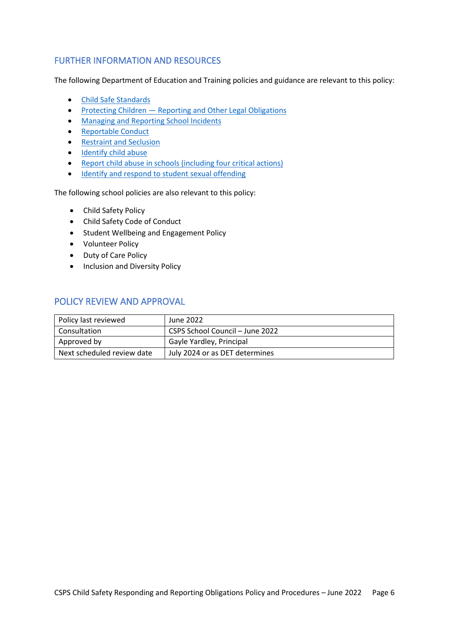### FURTHER INFORMATION AND RESOURCES

The following Department of Education and Training policies and guidance are relevant to this policy:

- [Child Safe Standards](https://www2.education.vic.gov.au/pal/child-safe-standards/policy)
- Protecting Children Reporting and Other Legal Obligations
- [Managing and Reporting School Incidents](https://www2.education.vic.gov.au/pal/reporting-and-managing-school-incidents-including-emergencies/policy)
- [Reportable Conduct](https://www2.education.vic.gov.au/pal/reportable-conduct-scheme/policy)
- [Restraint and Seclusion](https://www2.education.vic.gov.au/pal/restraint-seclusion/policy)
- [Identify child abuse](https://www.education.vic.gov.au/school/teachers/health/childprotection/Pages/identify.aspx)
- Report child abuse [in schools \(including four critical actions\)](https://www.education.vic.gov.au/school/teachers/health/childprotection/Pages/report.aspx)
- [Identify and respond to student sexual offending](https://www.education.vic.gov.au/school/teachers/health/childprotection/Pages/stusexual.aspx)

The following school policies are also relevant to this policy:

- Child Safety Policy
- Child Safety Code of Conduct
- Student Wellbeing and Engagement Policy
- Volunteer Policy
- Duty of Care Policy
- Inclusion and Diversity Policy

### POLICY REVIEW AND APPROVAL

| Policy last reviewed       | June 2022                       |
|----------------------------|---------------------------------|
| Consultation               | CSPS School Council - June 2022 |
| Approved by                | Gayle Yardley, Principal        |
| Next scheduled review date | July 2024 or as DET determines  |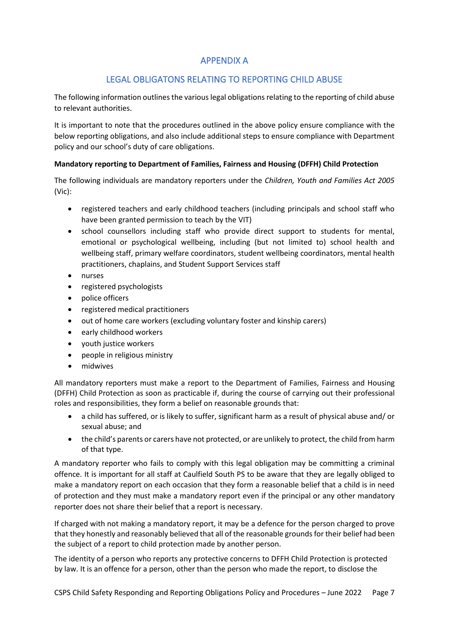# APPENDIX A

# LEGAL OBLIGATONS RELATING TO REPORTING CHILD ABUSE

The following information outlines the various legal obligations relating to the reporting of child abuse to relevant authorities.

It is important to note that the procedures outlined in the above policy ensure compliance with the below reporting obligations, and also include additional steps to ensure compliance with Department policy and our school's duty of care obligations.

### **Mandatory reporting to Department of Families, Fairness and Housing (DFFH) Child Protection**

The following individuals are mandatory reporters under the *Children, Youth and Families Act 2005* (Vic):

- registered teachers and early childhood teachers (including principals and school staff who have been granted permission to teach by the VIT)
- school counsellors including staff who provide direct support to students for mental, emotional or psychological wellbeing, including (but not limited to) school health and wellbeing staff, primary welfare coordinators, student wellbeing coordinators, mental health practitioners, chaplains, and Student Support Services staff
- nurses
- registered psychologists
- police officers
- registered medical practitioners
- out of home care workers (excluding voluntary foster and kinship carers)
- early childhood workers
- youth justice workers
- people in religious ministry
- midwives

All mandatory reporters must make a report to the Department of Families, Fairness and Housing (DFFH) Child Protection as soon as practicable if, during the course of carrying out their professional roles and responsibilities, they form a belief on reasonable grounds that:

- a child has suffered, or is likely to suffer, significant harm as a result of physical abuse and/ or sexual abuse; and
- the child's parents or carers have not protected, or are unlikely to protect, the child from harm of that type.

A mandatory reporter who fails to comply with this legal obligation may be committing a criminal offence. It is important for all staff at Caulfield South PS to be aware that they are legally obliged to make a mandatory report on each occasion that they form a reasonable belief that a child is in need of protection and they must make a mandatory report even if the principal or any other mandatory reporter does not share their belief that a report is necessary.

If charged with not making a mandatory report, it may be a defence for the person charged to prove that they honestly and reasonably believed that all of the reasonable grounds for their belief had been the subject of a report to child protection made by another person.

The identity of a person who reports any protective concerns to DFFH Child Protection is protected by law. It is an offence for a person, other than the person who made the report, to disclose the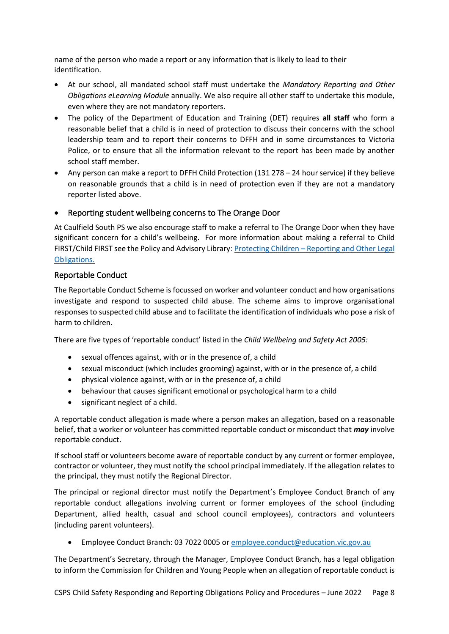name of the person who made a report or any information that is likely to lead to their identification.

- At our school, all mandated school staff must undertake the *Mandatory Reporting and Other Obligations eLearning Module* annually. We also require all other staff to undertake this module, even where they are not mandatory reporters.
- The policy of the Department of Education and Training (DET) requires **all staff** who form a reasonable belief that a child is in need of protection to discuss their concerns with the school leadership team and to report their concerns to DFFH and in some circumstances to Victoria Police, or to ensure that all the information relevant to the report has been made by another school staff member.
- Any person can make a report to DFFH Child Protection (131 278 24 hour service) if they believe on reasonable grounds that a child is in need of protection even if they are not a mandatory reporter listed above.

### • Reporting student wellbeing concerns to The Orange Door

At Caulfield South PS we also encourage staff to make a referral to The Orange Door when they have significant concern for a child's wellbeing. For more information about making a referral to Child FIRST/Child FIRST see the Policy and Advisory Library: [Protecting Children – Reporting and Other Legal](https://www2.education.vic.gov.au/pal/protecting-children/policy)  [Obligations](https://www2.education.vic.gov.au/pal/protecting-children/policy).

### Reportable Conduct

The Reportable Conduct Scheme is focussed on worker and volunteer conduct and how organisations investigate and respond to suspected child abuse. The scheme aims to improve organisational responses to suspected child abuse and to facilitate the identification of individuals who pose a risk of harm to children.

There are five types of 'reportable conduct' listed in the *Child Wellbeing and Safety Act 2005:*

- sexual offences against, with or in the presence of, a child
- sexual misconduct (which includes grooming) against, with or in the presence of, a child
- physical violence against, with or in the presence of, a child
- behaviour that causes significant emotional or psychological harm to a child
- significant neglect of a child.

A reportable conduct allegation is made where a person makes an allegation, based on a reasonable belief, that a worker or volunteer has committed reportable conduct or misconduct that *may* involve reportable conduct.

If school staff or volunteers become aware of reportable conduct by any current or former employee, contractor or volunteer, they must notify the school principal immediately. If the allegation relates to the principal, they must notify the Regional Director.

The principal or regional director must notify the Department's Employee Conduct Branch of any reportable conduct allegations involving current or former employees of the school (including Department, allied health, casual and school council employees), contractors and volunteers (including parent volunteers).

• Employee Conduct Branch: 03 7022 0005 o[r employee.conduct@education.vic.gov.au](mailto:employee.conduct@education.vic.gov.au) 

The Department's Secretary, through the Manager, Employee Conduct Branch, has a legal obligation to inform the Commission for Children and Young People when an allegation of reportable conduct is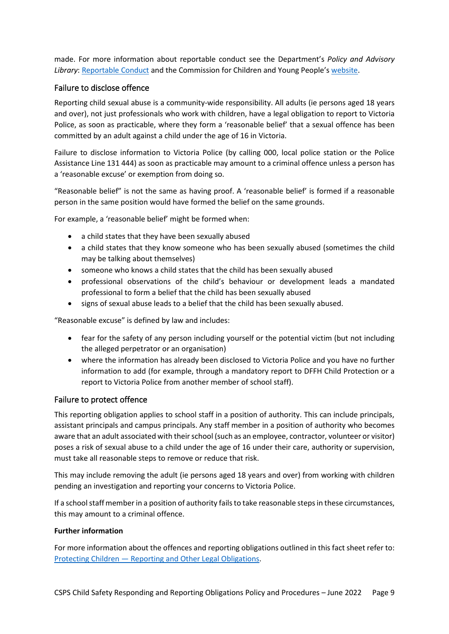made. For more information about reportable conduct see the Department's *Policy and Advisory Library*: [Reportable Conduct](https://www2.education.vic.gov.au/pal/reportable-conduct-scheme/policy) and the Commission for Children and Young People'[s website.](https://ccyp.vic.gov.au/reportable-conduct-scheme/)

### Failure to disclose offence

Reporting child sexual abuse is a community-wide responsibility. All adults (ie persons aged 18 years and over), not just professionals who work with children, have a legal obligation to report to Victoria Police, as soon as practicable, where they form a 'reasonable belief' that a sexual offence has been committed by an adult against a child under the age of 16 in Victoria.

Failure to disclose information to Victoria Police (by calling 000, local police station or the Police Assistance Line 131 444) as soon as practicable may amount to a criminal offence unless a person has a 'reasonable excuse' or exemption from doing so.

"Reasonable belief" is not the same as having proof. A 'reasonable belief' is formed if a reasonable person in the same position would have formed the belief on the same grounds.

For example, a 'reasonable belief' might be formed when:

- a child states that they have been sexually abused
- a child states that they know someone who has been sexually abused (sometimes the child may be talking about themselves)
- someone who knows a child states that the child has been sexually abused
- professional observations of the child's behaviour or development leads a mandated professional to form a belief that the child has been sexually abused
- signs of sexual abuse leads to a belief that the child has been sexually abused.

"Reasonable excuse" is defined by law and includes:

- fear for the safety of any person including yourself or the potential victim (but not including the alleged perpetrator or an organisation)
- where the information has already been disclosed to Victoria Police and you have no further information to add (for example, through a mandatory report to DFFH Child Protection or a report to Victoria Police from another member of school staff).

### Failure to protect offence

This reporting obligation applies to school staff in a position of authority. This can include principals, assistant principals and campus principals. Any staff member in a position of authority who becomes aware that an adult associated with their school (such as an employee, contractor, volunteer or visitor) poses a risk of sexual abuse to a child under the age of 16 under their care, authority or supervision, must take all reasonable steps to remove or reduce that risk.

This may include removing the adult (ie persons aged 18 years and over) from working with children pending an investigation and reporting your concerns to Victoria Police.

If a school staff member in a position of authority fails to take reasonable steps in these circumstances, this may amount to a criminal offence.

#### **Further information**

For more information about the offences and reporting obligations outlined in this fact sheet refer to: [Protecting Children — Reporting and Other Legal Obligations.](https://www2.education.vic.gov.au/pal/protecting-children/policy)